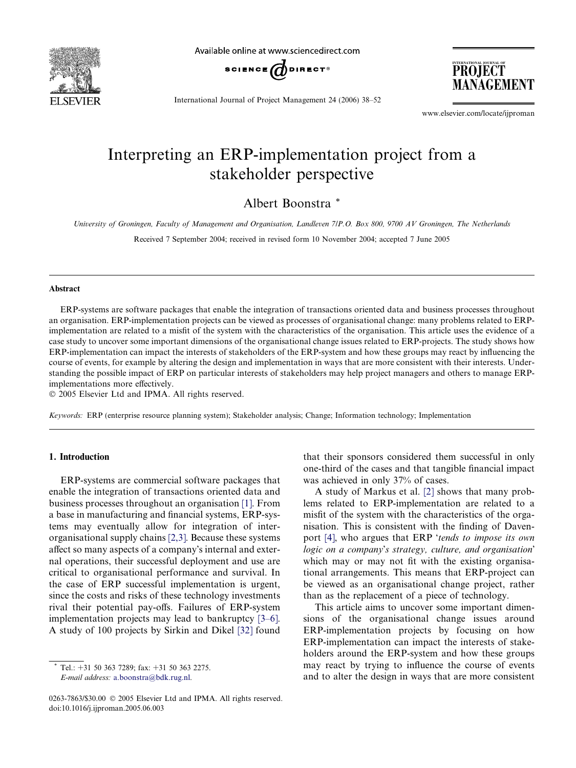

Available online at www.sciencedirect.com



PROJECT MANAGEMENT

International Journal of Project Management 24 (2006) 38–52

www.elsevier.com/locate/ijproman

## Interpreting an ERP-implementation project from a stakeholder perspective

Albert Boonstra \*

University of Groningen, Faculty of Management and Organisation, Landleven 7/P.O. Box 800, 9700 AV Groningen, The Netherlands

Received 7 September 2004; received in revised form 10 November 2004; accepted 7 June 2005

#### Abstract

ERP-systems are software packages that enable the integration of transactions oriented data and business processes throughout an organisation. ERP-implementation projects can be viewed as processes of organisational change: many problems related to ERPimplementation are related to a misfit of the system with the characteristics of the organisation. This article uses the evidence of a case study to uncover some important dimensions of the organisational change issues related to ERP-projects. The study shows how ERP-implementation can impact the interests of stakeholders of the ERP-system and how these groups may react by influencing the course of events, for example by altering the design and implementation in ways that are more consistent with their interests. Understanding the possible impact of ERP on particular interests of stakeholders may help project managers and others to manage ERPimplementations more effectively.

2005 Elsevier Ltd and IPMA. All rights reserved.

Keywords: ERP (enterprise resource planning system); Stakeholder analysis; Change; Information technology; Implementation

### 1. Introduction

ERP-systems are commercial software packages that enable the integration of transactions oriented data and business processes throughout an organisation [\[1\]](#page--1-0). From a base in manufacturing and financial systems, ERP-systems may eventually allow for integration of interorganisational supply chains [\[2,3\].](#page--1-0) Because these systems affect so many aspects of a companys internal and external operations, their successful deployment and use are critical to organisational performance and survival. In the case of ERP successful implementation is urgent, since the costs and risks of these technology investments rival their potential pay-offs. Failures of ERP-system implementation projects may lead to bankruptcy [\[3–6\]](#page--1-0). A study of 100 projects by Sirkin and Dikel [\[32\]](#page--1-0) found

Tel.: +31 50 363 7289; fax: +31 50 363 2275. E-mail address: [a.boonstra@bdk.rug.nl](mailto:a.boonstra@bdk.rug.nl).

0263-7863/\$30.00  $\odot$  2005 Elsevier Ltd and IPMA. All rights reserved. doi:10.1016/j.ijproman.2005.06.003

that their sponsors considered them successful in only one-third of the cases and that tangible financial impact was achieved in only 37% of cases.

A study of Markus et al. [\[2\]](#page--1-0) shows that many problems related to ERP-implementation are related to a misfit of the system with the characteristics of the organisation. This is consistent with the finding of Daven-port [\[4\],](#page--1-0) who argues that ERP 'tends to impose its own logic on a company's strategy, culture, and organisation' which may or may not fit with the existing organisational arrangements. This means that ERP-project can be viewed as an organisational change project, rather than as the replacement of a piece of technology.

This article aims to uncover some important dimensions of the organisational change issues around ERP-implementation projects by focusing on how ERP-implementation can impact the interests of stakeholders around the ERP-system and how these groups may react by trying to influence the course of events and to alter the design in ways that are more consistent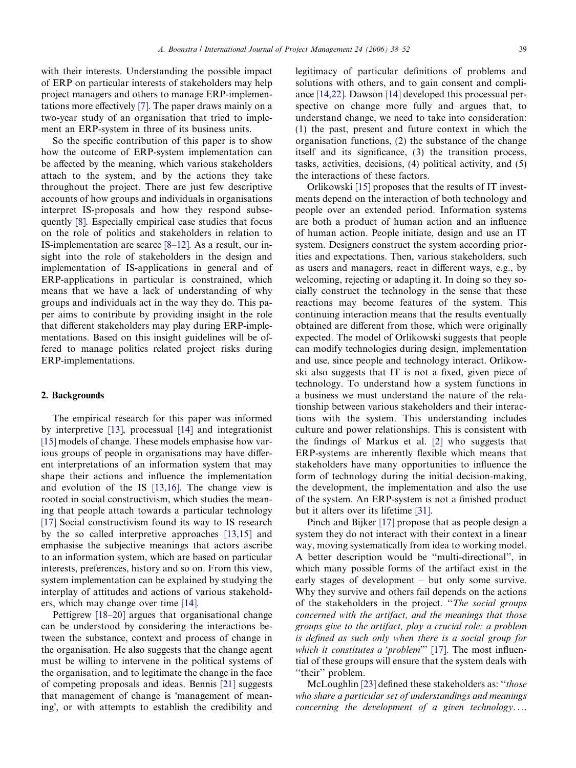with their interests. Understanding the possible impact of ERP on particular interests of stakeholders may help project managers and others to manage ERP-implementations more effectively [\[7\]](#page--1-0). The paper draws mainly on a two-year study of an organisation that tried to implement an ERP-system in three of its business units.

So the specific contribution of this paper is to show how the outcome of ERP-system implementation can be affected by the meaning, which various stakeholders attach to the system, and by the actions they take throughout the project. There are just few descriptive accounts of how groups and individuals in organisations interpret IS-proposals and how they respond subsequently [\[8\]](#page--1-0). Especially empirical case studies that focus on the role of politics and stakeholders in relation to IS-implementation are scarce [\[8–12\]](#page--1-0). As a result, our insight into the role of stakeholders in the design and implementation of IS-applications in general and of ERP-applications in particular is constrained, which means that we have a lack of understanding of why groups and individuals act in the way they do. This paper aims to contribute by providing insight in the role that different stakeholders may play during ERP-implementations. Based on this insight guidelines will be offered to manage politics related project risks during ERP-implementations.

### 2. Backgrounds

The empirical research for this paper was informed by interpretive [\[13\],](#page--1-0) processual [\[14\]](#page--1-0) and integrationist [\[15\]](#page--1-0) models of change. These models emphasise how various groups of people in organisations may have different interpretations of an information system that may shape their actions and influence the implementation and evolution of the IS [\[13,16\]](#page--1-0). The change view is rooted in social constructivism, which studies the meaning that people attach towards a particular technology [\[17\]](#page--1-0) Social constructivism found its way to IS research by the so called interpretive approaches [\[13,15\]](#page--1-0) and emphasise the subjective meanings that actors ascribe to an information system, which are based on particular interests, preferences, history and so on. From this view, system implementation can be explained by studying the interplay of attitudes and actions of various stakeholders, which may change over time [\[14\]](#page--1-0).

Pettigrew [\[18–20\]](#page--1-0) argues that organisational change can be understood by considering the interactions between the substance, context and process of change in the organisation. He also suggests that the change agent must be willing to intervene in the political systems of the organisation, and to legitimate the change in the face of competing proposals and ideas. Bennis [\[21\]](#page--1-0) suggests that management of change is 'management of meaning', or with attempts to establish the credibility and

legitimacy of particular definitions of problems and solutions with others, and to gain consent and compliance [\[14,22\].](#page--1-0) Dawson [\[14\]](#page--1-0) developed this processual perspective on change more fully and argues that, to understand change, we need to take into consideration: (1) the past, present and future context in which the organisation functions, (2) the substance of the change itself and its significance, (3) the transition process, tasks, activities, decisions, (4) political activity, and (5) the interactions of these factors.

Orlikowski [\[15\]](#page--1-0) proposes that the results of IT investments depend on the interaction of both technology and people over an extended period. Information systems are both a product of human action and an influence of human action. People initiate, design and use an IT system. Designers construct the system according priorities and expectations. Then, various stakeholders, such as users and managers, react in different ways, e.g., by welcoming, rejecting or adapting it. In doing so they socially construct the technology in the sense that these reactions may become features of the system. This continuing interaction means that the results eventually obtained are different from those, which were originally expected. The model of Orlikowski suggests that people can modify technologies during design, implementation and use, since people and technology interact. Orlikowski also suggests that IT is not a fixed, given piece of technology. To understand how a system functions in a business we must understand the nature of the relationship between various stakeholders and their interactions with the system. This understanding includes culture and power relationships. This is consistent with the findings of Markus et al. [\[2\]](#page--1-0) who suggests that ERP-systems are inherently flexible which means that stakeholders have many opportunities to influence the form of technology during the initial decision-making, the development, the implementation and also the use of the system. An ERP-system is not a finished product but it alters over its lifetime [\[31\].](#page--1-0)

Pinch and Bijker [\[17\]](#page--1-0) propose that as people design a system they do not interact with their context in a linear way, moving systematically from idea to working model. A better description would be ''multi-directional'', in which many possible forms of the artifact exist in the early stages of development – but only some survive. Why they survive and others fail depends on the actions of the stakeholders in the project. ''The social groups concerned with the artifact, and the meanings that those groups give to the artifact, play a crucial role: a problem is defined as such only when there is a social group for which it constitutes a 'problem'"  $[17]$ . The most influential of these groups will ensure that the system deals with "their" problem.

McLoughlin [\[23\]](#page--1-0) defined these stakeholders as: "those who share a particular set of understandings and meanings concerning the development of a given technology....